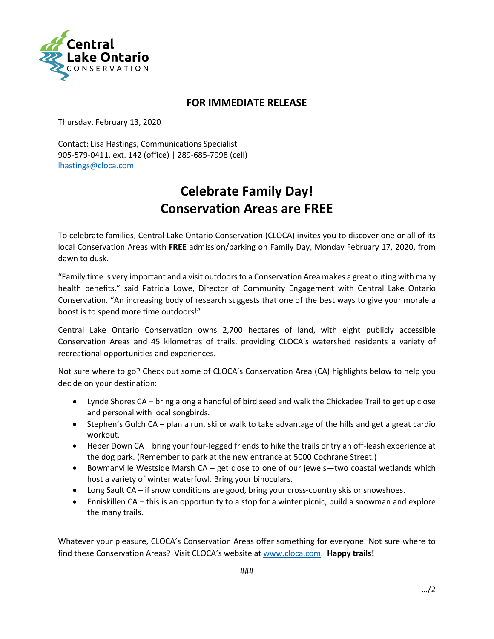

## **FOR IMMEDIATE RELEASE**

Thursday, February 13, 2020

Contact: Lisa Hastings, Communications Specialist 905-579-0411, ext. 142 (office) | 289-685-7998 (cell) [lhastings@cloca.com](mailto:lhastings@cloca.com)

## **Celebrate Family Day! Conservation Areas are FREE**

To celebrate families, Central Lake Ontario Conservation (CLOCA) invites you to discover one or all of its local Conservation Areas with **FREE** admission/parking on Family Day, Monday February 17, 2020, from dawn to dusk.

"Family time is very important and a visit outdoors to a Conservation Area makes a great outing with many health benefits," said Patricia Lowe, Director of Community Engagement with Central Lake Ontario Conservation. "An increasing body of research suggests that one of the best ways to give your morale a boost is to spend more time outdoors!"

Central Lake Ontario Conservation owns 2,700 hectares of land, with eight publicly accessible Conservation Areas and 45 kilometres of trails, providing CLOCA's watershed residents a variety of recreational opportunities and experiences.

Not sure where to go? Check out some of CLOCA's Conservation Area (CA) highlights below to help you decide on your destination:

- Lynde Shores CA bring along a handful of bird seed and walk the Chickadee Trail to get up close and personal with local songbirds.
- Stephen's Gulch CA plan a run, ski or walk to take advantage of the hills and get a great cardio workout.
- Heber Down CA bring your four-legged friends to hike the trails or try an off-leash experience at the dog park. (Remember to park at the new entrance at 5000 Cochrane Street.)
- Bowmanville Westside Marsh CA get close to one of our jewels—two coastal wetlands which host a variety of winter waterfowl. Bring your binoculars.
- Long Sault CA if snow conditions are good, bring your cross-country skis or snowshoes.
- Enniskillen CA this is an opportunity to a stop for a winter picnic, build a snowman and explore the many trails.

Whatever your pleasure, CLOCA's Conservation Areas offer something for everyone. Not sure where to find these Conservation Areas? Visit CLOCA's website a[t www.cloca.com.](http://www.cloca.com/) **Happy trails!**